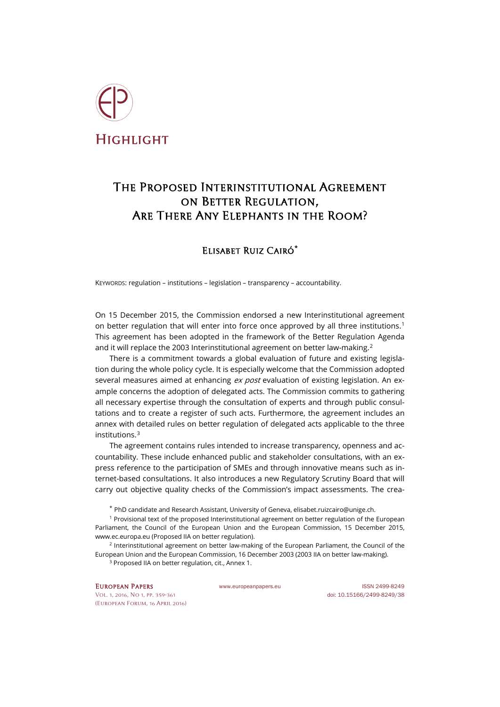

## The Proposed Interinstitutional Agreement on Better Regulation, Are There Any Elephants in the Room?

## Elisabet Ruiz Cairó**[\\*](#page-0-0)**

KEYWORDS: regulation – institutions – legislation – transparency – accountability.

On 15 December 2015, the Commission endorsed a new Interinstitutional agreement on better regulation that will enter into force once approved by all three institutions.<sup>[1](#page-0-1)</sup> This agreement has been adopted in the framework of the Better Regulation Agenda and it will replace the [2](#page-0-2)003 Interinstitutional agreement on better law-making.<sup>2</sup>

There is a commitment towards a global evaluation of future and existing legislation during the whole policy cycle. It is especially welcome that the Commission adopted several measures aimed at enhancing ex post evaluation of existing legislation. An example concerns the adoption of delegated acts. The Commission commits to gathering all necessary expertise through the consultation of experts and through public consultations and to create a register of such acts. Furthermore, the agreement includes an annex with detailed rules on better regulation of delegated acts applicable to the three institutions.[3](#page-0-3)

The agreement contains rules intended to increase transparency, openness and accountability. These include enhanced public and stakeholder consultations, with an express reference to the participation of SMEs and through innovative means such as internet-based consultations. It also introduces a new Regulatory Scrutiny Board that will carry out objective quality checks of the Commission's impact assessments. The crea-

\* PhD candidate and Research Assistant, University of Geneva, elisabet.ruizcairo@unige.ch.

<span id="page-0-1"></span><span id="page-0-0"></span><sup>1</sup> Provisional text of the proposed Interinstitutional agreement on better regulation of the European Parliament, the Council of the European Union and the European Commission, 15 December 2015, www.ec.europa.eu (Proposed IIA on better regulation).

<span id="page-0-3"></span><span id="page-0-2"></span><sup>2</sup> Interinstitutional agreement on better law-making of the European Parliament, the Council of the European Union and the European Commission, 16 December 2003 (2003 IIA on better law-making).

<sup>3</sup> Proposed IIA on better regulation, cit., Annex 1.

[Vol. 1, 2016, No 1,](http://www.europeanpapers.eu/en/e-journal/EP_eJ_2016_1_European_Forum) pp. 359-361 doi: [10.15166/2499-8249/38](http://dx.doi.org/10.15166/2499-8249/38) (European Forum, 16 April 2016)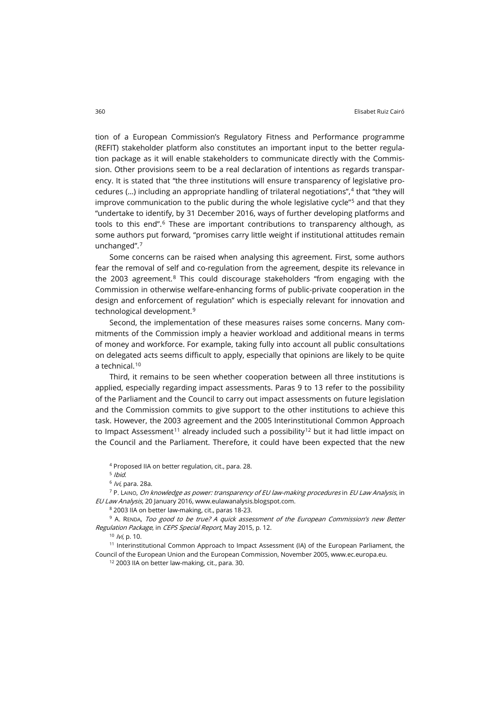tion of a European Commission's Regulatory Fitness and Performance programme (REFIT) stakeholder platform also constitutes an important input to the better regulation package as it will enable stakeholders to communicate directly with the Commission. Other provisions seem to be a real declaration of intentions as regards transparency. It is stated that "the three institutions will ensure transparency of legislative procedures  $(...)$  including an appropriate handling of trilateral negotiations", $4$  that "they will improve communication to the public during the whole legislative cycle"[5](#page-1-1) and that they "undertake to identify, by 31 December 2016, ways of further developing platforms and tools to this end".<sup>[6](#page-1-2)</sup> These are important contributions to transparency although, as some authors put forward, "promises carry little weight if institutional attitudes remain unchanged".[7](#page-1-3)

Some concerns can be raised when analysing this agreement. First, some authors fear the removal of self and co-regulation from the agreement, despite its relevance in the 2003 agreement.<sup>[8](#page-1-4)</sup> This could discourage stakeholders "from engaging with the Commission in otherwise welfare-enhancing forms of public-private cooperation in the design and enforcement of regulation" which is especially relevant for innovation and technological development.[9](#page-1-5)

Second, the implementation of these measures raises some concerns. Many commitments of the Commission imply a heavier workload and additional means in terms of money and workforce. For example, taking fully into account all public consultations on delegated acts seems difficult to apply, especially that opinions are likely to be quite a technical.[10](#page-1-6)

Third, it remains to be seen whether cooperation between all three institutions is applied, especially regarding impact assessments. Paras 9 to 13 refer to the possibility of the Parliament and the Council to carry out impact assessments on future legislation and the Commission commits to give support to the other institutions to achieve this task. However, the 2003 agreement and the 2005 Interinstitutional Common Approach to Impact Assessment<sup>[11](#page-1-7)</sup> already included such a possibility<sup>[12](#page-1-8)</sup> but it had little impact on the Council and the Parliament. Therefore, it could have been expected that the new

<sup>4</sup> Proposed IIA on better regulation, cit., para. 28.

 $5$  Ibid.

 $6$  /vi, para. 28a.

<span id="page-1-3"></span><span id="page-1-2"></span><span id="page-1-1"></span><span id="page-1-0"></span> $7$  P. Laino, On knowledge as power: transparency of EU law-making procedures in EU Law Analysis, in EU Law Analysis, 20 January 2016, www.eulawanalysis.blogspot.com.

<sup>8</sup> 2003 IIA on better law-making, cit., paras 18-23.

<span id="page-1-5"></span><span id="page-1-4"></span><sup>9</sup> A. RENDA, Too good to be true? A quick assessment of the European Commission's new Better Regulation Package, in CEPS Special Report, May 2015, p. 12.

 $10$  /vi, p. 10.

<span id="page-1-8"></span><span id="page-1-7"></span><span id="page-1-6"></span> $11$  Interinstitutional Common Approach to Impact Assessment (IA) of the European Parliament, the Council of the European Union and the European Commission, November 2005, www.ec.europa.eu.

<sup>12</sup> 2003 IIA on better law-making, cit., para. 30.